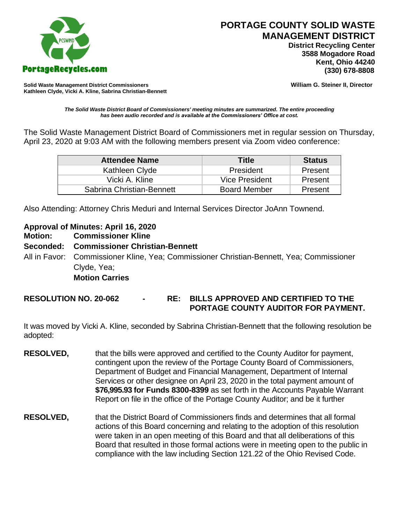

 **District Recycling Center 3588 Mogadore Road Kent, Ohio 44240**

**Solid Waste Management District Commissioners William G. Steiner II, Director Kathleen Clyde, Vicki A. Kline, Sabrina Christian-Bennett** 

*The Solid Waste District Board of Commissioners' meeting minutes are summarized. The entire proceeding has been audio recorded and is available at the Commissioners' Office at cost.*

The Solid Waste Management District Board of Commissioners met in regular session on Thursday, April 23, 2020 at 9:03 AM with the following members present via Zoom video conference:

| <b>Attendee Name</b>      | Title               | <b>Status</b> |
|---------------------------|---------------------|---------------|
| Kathleen Clyde            | President           | Present       |
| Vicki A. Kline            | Vice President      | Present       |
| Sabrina Christian-Bennett | <b>Board Member</b> | Present       |

Also Attending: Attorney Chris Meduri and Internal Services Director JoAnn Townend.

## **Approval of Minutes: April 16, 2020**

**Motion: Commissioner Kline**

## **Seconded: Commissioner Christian-Bennett**

All in Favor: Commissioner Kline, Yea; Commissioner Christian-Bennett, Yea; Commissioner Clyde, Yea;

## **Motion Carries**

**RESOLUTION NO. 20-062 - RE: BILLS APPROVED AND CERTIFIED TO THE PORTAGE COUNTY AUDITOR FOR PAYMENT.** 

It was moved by Vicki A. Kline, seconded by Sabrina Christian-Bennett that the following resolution be adopted:

- **RESOLVED,** that the bills were approved and certified to the County Auditor for payment, contingent upon the review of the Portage County Board of Commissioners, Department of Budget and Financial Management, Department of Internal Services or other designee on April 23, 2020 in the total payment amount of **\$76,995.93 for Funds 8300-8399** as set forth in the Accounts Payable Warrant Report on file in the office of the Portage County Auditor; and be it further
- **RESOLVED,** that the District Board of Commissioners finds and determines that all formal actions of this Board concerning and relating to the adoption of this resolution were taken in an open meeting of this Board and that all deliberations of this Board that resulted in those formal actions were in meeting open to the public in compliance with the law including Section 121.22 of the Ohio Revised Code.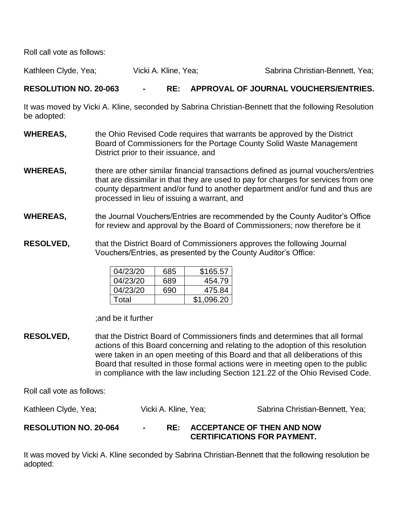Roll call vote as follows:

Kathleen Clyde, Yea; Vicki A. Kline, Yea; Sabrina Christian-Bennett, Yea;

## **RESOLUTION NO. 20-063 - RE: APPROVAL OF JOURNAL VOUCHERS/ENTRIES.**

It was moved by Vicki A. Kline, seconded by Sabrina Christian-Bennett that the following Resolution be adopted:

- **WHEREAS,** the Ohio Revised Code requires that warrants be approved by the District Board of Commissioners for the Portage County Solid Waste Management District prior to their issuance, and
- **WHEREAS,** there are other similar financial transactions defined as journal vouchers/entries that are dissimilar in that they are used to pay for charges for services from one county department and/or fund to another department and/or fund and thus are processed in lieu of issuing a warrant, and
- **WHEREAS,** the Journal Vouchers/Entries are recommended by the County Auditor's Office for review and approval by the Board of Commissioners; now therefore be it
- **RESOLVED,** that the District Board of Commissioners approves the following Journal Vouchers/Entries, as presented by the County Auditor's Office:

| 04/23/20 | 685. | \$165.57   |
|----------|------|------------|
| 04/23/20 | 689  | 454.79     |
| 04/23/20 | 690  | 475.84     |
| Total    |      | \$1,096.20 |

;and be it further

**RESOLVED,** that the District Board of Commissioners finds and determines that all formal actions of this Board concerning and relating to the adoption of this resolution were taken in an open meeting of this Board and that all deliberations of this Board that resulted in those formal actions were in meeting open to the public in compliance with the law including Section 121.22 of the Ohio Revised Code.

Roll call vote as follows:

| Kathleen Clyde, Yea;         | Vicki A. Kline, Yea; | Sabrina Christian-Bennett, Yea; |
|------------------------------|----------------------|---------------------------------|
| <b>DECALLITIAN NA 20 0CA</b> |                      | ACCEPTANCE OF THEN AND NOW      |

**RESOLUTION NO. 20-064 - RE: ACCEPTANCE OF THEN AND NOW CERTIFICATIONS FOR PAYMENT.**

It was moved by Vicki A. Kline seconded by Sabrina Christian-Bennett that the following resolution be adopted: